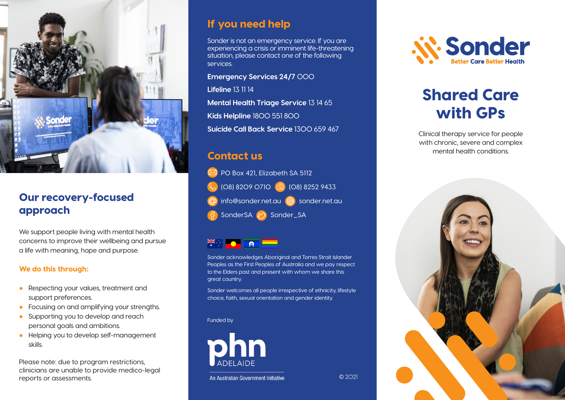

#### Our recovery-focused approach

We support people living with mental health concerns to improve their wellbeing and pursue a life with meaning, hope and purpose.

#### We do this through:

- Respecting your values, treatment and support preferences.
- Focusing on and amplifying your strengths.
- Supporting you to develop and reach personal goals and ambitions.
- Helping you to develop self-management skills.

Please note: due to program restrictions, clinicians are unable to provide medico-legal reports or assessments.

## If you need help

Sonder is not an emergency service. If you are experiencing a crisis or imminent life-threatening situation, please contact one of the following services.

**Emergency Services 24/7** 000

**Lifeline** 13 11 14

**Mental Health Triage Service** 13 14 65 **Kids Helpline** 1800 551 800 **Suicide Call Back Service** 1300 659 467

## Contact us

**PO Box 421, Elizabeth SA 5112** (08) 8209 0710 (**b)** (08) 8252 9433 info@sonder.net.au <sub>sonder.net.au</sub> SonderSA & Sonder\_SA

Sonder acknowledges Aboriginal and Torres Strait Islander Peoples as the First Peoples of Australia and we pay respect to the Elders past and present with whom we share this great country.

Sonder welcomes all people irrespective of ethnicity, lifestyle choice, faith, sexual orientation and gender identity.

© 2021

#### Funded by



An Australian Government Initiative

*if-Sonder* 

# Shared Care with GPs

Clinical therapy service for people with chronic, severe and complex mental health conditions.